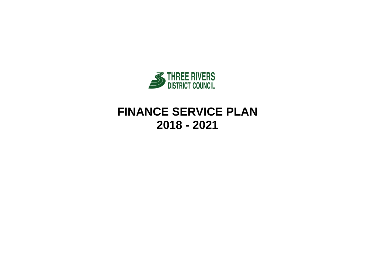

# **FINANCE SERVICE PLAN 2018 - 2021**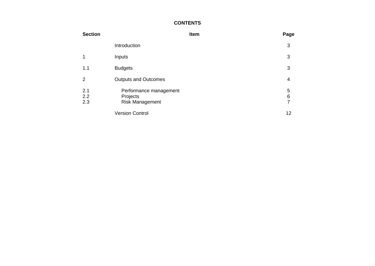## **CONTENTS**

| <b>Section</b>    |                                                              | Item | Page                                    |
|-------------------|--------------------------------------------------------------|------|-----------------------------------------|
|                   | Introduction                                                 |      | 3                                       |
| 1                 | Inputs                                                       |      | 3                                       |
| 1.1               | <b>Budgets</b>                                               |      | 3                                       |
| 2                 | <b>Outputs and Outcomes</b>                                  |      | 4                                       |
| 2.1<br>2.2<br>2.3 | Performance management<br>Projects<br><b>Risk Management</b> |      | 5<br>$\boldsymbol{6}$<br>$\overline{7}$ |
|                   | <b>Version Control</b>                                       |      | 12                                      |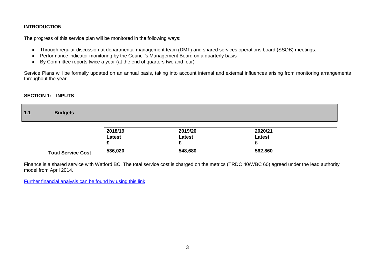#### **INTRODUCTION**

The progress of this service plan will be monitored in the following ways:

- Through regular discussion at departmental management team (DMT) and shared services operations board (SSOB) meetings.
- Performance indicator monitoring by the Council's Management Board on a quarterly basis
- By Committee reports twice a year (at the end of quarters two and four)

Service Plans will be formally updated on an annual basis, taking into account internal and external influences arising from monitoring arrangements throughout the year.

## **SECTION 1: INPUTS**

| $1.1$ | <b>Budgets</b>            |         |         |               |  |
|-------|---------------------------|---------|---------|---------------|--|
|       |                           | 2018/19 | 2019/20 | 2020/21       |  |
|       |                           | Latest  | Latest  | <b>Latest</b> |  |
|       | <b>Total Service Cost</b> | 536,020 | 548,680 | 562,860       |  |

Finance is a shared service with Watford BC. The total service cost is charged on the metrics (TRDC 40/WBC 60) agreed under the lead authority model from April 2014.

Further financial [analysis can be found by using this link](http://www.threerivers.gov.uk/egcl-page/budgets-2018-21)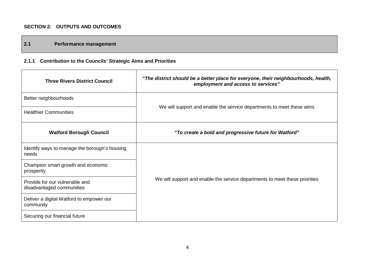## **SECTION 2: OUTPUTS AND OUTCOMES**

## **2.1 Performance management**

## **2.1.1 Contribution to the Councils' Strategic Aims and Priorities**

| <b>Three Rivers District Council</b>                        | "The district should be a better place for everyone, their neighbourhoods, health,<br>employment and access to services" |
|-------------------------------------------------------------|--------------------------------------------------------------------------------------------------------------------------|
| Better neighbourhoods                                       |                                                                                                                          |
| <b>Healthier Communities</b>                                | We will support and enable the service departments to meet these aims                                                    |
| <b>Watford Borough Council</b>                              | "To create a bold and progressive future for Watford"                                                                    |
| Identify ways to manage the borough's housing<br>needs      |                                                                                                                          |
| Champion smart growth and economic<br>prosperity            |                                                                                                                          |
| Provide for our vulnerable and<br>disadvantaged communities | We will support and enable the service departments to meet these priorities                                              |
| Deliver a digital Watford to empower our<br>community       |                                                                                                                          |
| Securing our financial future                               |                                                                                                                          |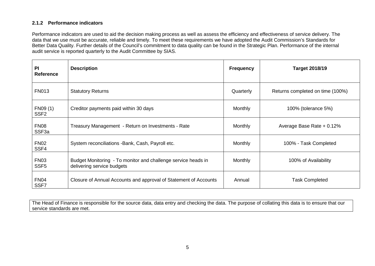#### **2.1.2 Performance indicators**

Performance indicators are used to aid the decision making process as well as assess the efficiency and effectiveness of service delivery. The data that we use must be accurate, reliable and timely. To meet these requirements we have adopted the Audit Commission's Standards for Better Data Quality. Further details of the Council's commitment to data quality can be found in the Strategic Plan. Performance of the internal audit service is reported quarterly to the Audit Committee by SIAS.

| PI<br><b>Reference</b>           | <b>Description</b>                                                                          | <b>Frequency</b> | <b>Target 2018/19</b>            |
|----------------------------------|---------------------------------------------------------------------------------------------|------------------|----------------------------------|
| <b>FN013</b>                     | <b>Statutory Returns</b>                                                                    | Quarterly        | Returns completed on time (100%) |
| FN09 (1)<br>SSF <sub>2</sub>     | Creditor payments paid within 30 days                                                       | Monthly          | 100% (tolerance 5%)              |
| <b>FN08</b><br>SSF <sub>3a</sub> | Treasury Management - Return on Investments - Rate                                          | <b>Monthly</b>   | Average Base Rate + 0.12%        |
| <b>FN02</b><br>SSF4              | System reconciliations - Bank, Cash, Payroll etc.                                           | <b>Monthly</b>   | 100% - Task Completed            |
| <b>FN03</b><br>SSF <sub>5</sub>  | Budget Monitoring - To monitor and challenge service heads in<br>delivering service budgets | Monthly          | 100% of Availability             |
| <b>FN04</b><br>SSF7              | Closure of Annual Accounts and approval of Statement of Accounts                            | Annual           | <b>Task Completed</b>            |

The Head of Finance is responsible for the source data, data entry and checking the data. The purpose of collating this data is to ensure that our service standards are met.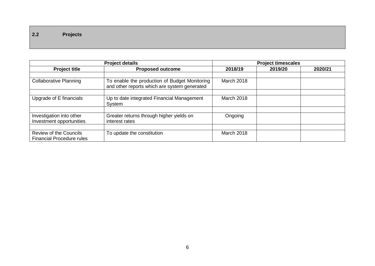**2.2 Projects**

|                                                                   | <b>Project details</b>                                                                        |                   | <b>Project timescales</b> |         |
|-------------------------------------------------------------------|-----------------------------------------------------------------------------------------------|-------------------|---------------------------|---------|
| <b>Project title</b>                                              | <b>Proposed outcome</b>                                                                       | 2018/19           | 2019/20                   | 2020/21 |
| <b>Collaborative Planning</b>                                     | To enable the production of Budget Monitoring<br>and other reports which are system generated | March 2018        |                           |         |
| Upgrade of E financials                                           | Up to date integrated Financial Management<br>System                                          | <b>March 2018</b> |                           |         |
| Investigation into other<br>Investment opportunities              | Greater returns through higher yields on<br>interest rates                                    | Ongoing           |                           |         |
| <b>Review of the Councils</b><br><b>Financial Procedure rules</b> | To update the constitution                                                                    | March 2018        |                           |         |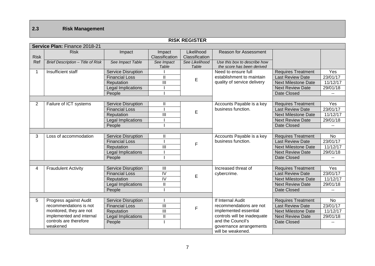## **2.3 Risk Management**

|                |                                   |                           |                          | <b>RISK REGISTER</b>         |                                                            |                            |           |
|----------------|-----------------------------------|---------------------------|--------------------------|------------------------------|------------------------------------------------------------|----------------------------|-----------|
|                | Service Plan: Finance 2018-21     |                           |                          |                              |                                                            |                            |           |
| <b>Risk</b>    | <b>Risk</b>                       | Impact                    | Impact<br>Classification | Likelihood<br>Classification | <b>Reason for Assessment</b>                               |                            |           |
| Ref            | Brief Description - Title of Risk | See Impact Table          | See Impact<br>Table      | See Likelihood<br>Table      | Use this box to describe how<br>the score has been derived |                            |           |
| 1              | Insufficient staff                | Service Disruption        |                          |                              | Need to ensure full                                        | <b>Requires Treatment</b>  | Yes       |
|                |                                   | <b>Financial Loss</b>     | $\mathbf{I}$             | E                            | establishment to maintain                                  | <b>Last Review Date</b>    | 23/01/17  |
|                |                                   | Reputation                | $\overline{\mathbb{I}}$  |                              | quality of service delivery                                | <b>Next Milestone Date</b> | 11/12/17  |
|                |                                   | <b>Legal Implications</b> |                          |                              |                                                            | <b>Next Review Date</b>    | 29/01/18  |
|                |                                   | People                    |                          |                              |                                                            | Date Closed                |           |
|                |                                   |                           |                          |                              |                                                            |                            |           |
| $\overline{2}$ | Failure of ICT systems            | <b>Service Disruption</b> | Ш                        |                              | Accounts Payable is a key                                  | <b>Requires Treatment</b>  | Yes       |
|                |                                   | <b>Financial Loss</b>     |                          | E                            | business function.                                         | <b>Last Review Date</b>    | 23/01/17  |
|                |                                   | Reputation                | $\mathbf{III}$           |                              |                                                            | <b>Next Milestone Date</b> | 11/12/17  |
|                |                                   | Legal Implications        |                          |                              |                                                            | <b>Next Review Date</b>    | 29/01/18  |
|                |                                   | People                    |                          |                              |                                                            | Date Closed                |           |
|                |                                   |                           |                          |                              |                                                            |                            |           |
| 3              | Loss of accommodation             | <b>Service Disruption</b> | Ш                        |                              | Accounts Payable is a key                                  | <b>Requires Treatment</b>  | <b>No</b> |
|                |                                   | <b>Financial Loss</b>     |                          | F                            | business function.                                         | <b>Last Review Date</b>    | 23/01/17  |
|                |                                   | Reputation                | Ш                        |                              |                                                            | <b>Next Milestone Date</b> | 11/12/17  |
|                |                                   | Legal Implications        |                          |                              |                                                            | <b>Next Review Date</b>    | 29/01/18  |
|                |                                   | People                    |                          |                              |                                                            | Date Closed                |           |
|                |                                   |                           |                          |                              |                                                            |                            |           |
| 4              | <b>Fraudulent Activity</b>        | Service Disruption        | Ш                        |                              | Increased threat of                                        | <b>Requires Treatment</b>  | Yes       |
|                |                                   | <b>Financial Loss</b>     | $\overline{N}$           | E                            | cybercrime.                                                | <b>Last Review Date</b>    | 23/01/17  |
|                |                                   | Reputation                | $\overline{N}$           |                              |                                                            | <b>Next Milestone Date</b> | 11/12/17  |
|                |                                   | Legal Implications        | $\mathbf{I}$             |                              |                                                            | <b>Next Review Date</b>    | 29/01/18  |
|                |                                   | People                    |                          |                              |                                                            | Date Closed                |           |
|                |                                   |                           |                          |                              |                                                            |                            |           |
| 5              | Progress against Audit            | <b>Service Disruption</b> |                          |                              | If Internal Audit                                          | <b>Requires Treatment</b>  | <b>No</b> |
|                | recommendations is not            | <b>Financial Loss</b>     | Ш                        | $\mathsf F$                  | recommendations are not                                    | <b>Last Review Date</b>    | 23/01/17  |
|                | monitored, they are not           | Reputation                | $\mathbf{III}$           |                              | implemented essential                                      | <b>Next Milestone Date</b> | 11/12/17  |
|                | implemented and internal          | Legal Implications        | $\mathsf{I}$             |                              | controls will be inadequate                                | <b>Next Review Date</b>    | 29/01/18  |
|                | controls are therefore            | People                    |                          |                              | and the Council's                                          | Date Closed                |           |
|                | weakened                          |                           |                          |                              | governance arrangements                                    |                            |           |
|                |                                   |                           |                          |                              | will be weakened.                                          |                            |           |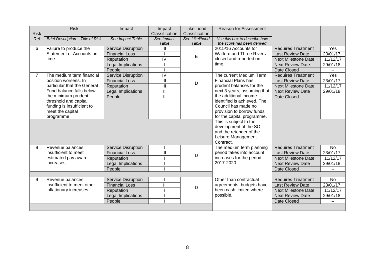|             | <b>Risk</b>                       | Impact                    | Impact                  | Likelihood     | <b>Reason for Assessment</b>                       |                                                      |           |
|-------------|-----------------------------------|---------------------------|-------------------------|----------------|----------------------------------------------------|------------------------------------------------------|-----------|
| <b>Risk</b> |                                   |                           | Classification          | Classification |                                                    |                                                      |           |
| Ref         | Brief Description - Title of Risk | See Impact Table          | See Impact              | See Likelihood | Use this box to describe how                       |                                                      |           |
| 6           | Failure to produce the            | <b>Service Disruption</b> | Table<br>$\mathbf{III}$ | Table          | the score has been derived<br>2015/16 Accounts for |                                                      | Yes       |
|             | Statement of Accounts on          | <b>Financial Loss</b>     |                         |                | <b>Watford and Three Rivers</b>                    | <b>Requires Treatment</b><br><b>Last Review Date</b> | 23/01/17  |
|             | time                              | Reputation                | $\overline{N}$          | E              | closed and reported on                             | <b>Next Milestone Date</b>                           | 11/12/17  |
|             |                                   | Legal Implications        |                         |                | time.                                              | <b>Next Review Date</b>                              | 29/01/18  |
|             |                                   | People                    |                         |                |                                                    | Date Closed                                          |           |
|             | The medium term financial         | <b>Service Disruption</b> | $\overline{N}$          |                | The current Medium Term                            | <b>Requires Treatment</b>                            | Yes       |
|             | position worsens. In              | <b>Financial Loss</b>     | $\mathbf{III}$          |                | <b>Financial Plans has</b>                         | <b>Last Review Date</b>                              | 23/01/17  |
|             | particular that the General       | Reputation                | $\overline{\mathbf{m}}$ | D              | prudent balances for the                           | <b>Next Milestone Date</b>                           | 11/12/17  |
|             | Fund balance falls below          | Legal Implications        | $\mathbf{II}$           |                | next 3 years, assuming that                        | <b>Next Review Date</b>                              | 29/01/18  |
|             | the minimum prudent               | People                    | $\mathbf{II}$           |                | the additional income                              | Date Closed                                          |           |
|             | threshold and capital             |                           |                         |                | identified is achieved. The                        |                                                      |           |
|             | funding is insufficient to        |                           |                         |                | Council has made no                                |                                                      |           |
|             | meet the capital                  |                           |                         |                | provision to borrow funds                          |                                                      |           |
|             | programme                         |                           |                         |                | for the capital programme.                         |                                                      |           |
|             |                                   |                           |                         |                | This is subject to the                             |                                                      |           |
|             |                                   |                           |                         |                | development of the SOI                             |                                                      |           |
|             |                                   |                           |                         |                | and the retender of the                            |                                                      |           |
|             |                                   |                           |                         |                | Leisure Management                                 |                                                      |           |
|             |                                   |                           |                         |                | Contract.                                          |                                                      |           |
| 8           | Revenue balances                  | <b>Service Disruption</b> |                         |                | The medium term planning                           | <b>Requires Treatment</b>                            | No        |
|             | insufficient to meet              | <b>Financial Loss</b>     | $\overline{\mathbf{m}}$ | D              | period takes into account                          | <b>Last Review Date</b>                              | 23/01/17  |
|             | estimated pay award               | Reputation                |                         |                | increases for the period                           | <b>Next Milestone Date</b>                           | 11/12/17  |
|             | increases                         | Legal Implications        |                         |                | 2017-2020                                          | <b>Next Review Date</b>                              | 29/01/18  |
|             |                                   | People                    |                         |                |                                                    | Date Closed                                          |           |
|             |                                   |                           |                         |                |                                                    |                                                      |           |
| 9           | Revenue balances                  | <b>Service Disruption</b> |                         |                | Other than contractual                             | <b>Requires Treatment</b>                            | <b>No</b> |
|             | insufficient to meet other        | <b>Financial Loss</b>     | $\mathbf{II}$           | D              | agreements, budgets have                           | <b>Last Review Date</b>                              | 23/01/17  |
|             | inflationary increases            | Reputation                |                         |                | been cash limited where                            | <b>Next Milestone Date</b>                           | 11/12/17  |
|             |                                   | <b>Legal Implications</b> |                         |                | possible.                                          | <b>Next Review Date</b>                              | 29/01/18  |
|             |                                   | People                    |                         |                |                                                    | Date Closed                                          |           |
|             |                                   |                           |                         |                |                                                    |                                                      |           |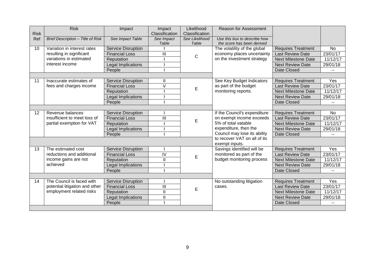|             | <b>Risk</b>                       | Impact                    | Impact                                    | Likelihood     | <b>Reason for Assessment</b> |                            |           |
|-------------|-----------------------------------|---------------------------|-------------------------------------------|----------------|------------------------------|----------------------------|-----------|
| <b>Risk</b> |                                   |                           | Classification                            | Classification |                              |                            |           |
| Ref         | Brief Description - Title of Risk | See Impact Table          | See Impact                                | See Likelihood | Use this box to describe how |                            |           |
|             |                                   |                           | Table                                     | Table          | the score has been derived   |                            |           |
| 10          | Variation in interest rates       | <b>Service Disruption</b> |                                           |                | The volatility of the global | <b>Requires Treatment</b>  | <b>No</b> |
|             | resulting in significant          | <b>Financial Loss</b>     | Ш                                         | $\mathbf C$    | economy places uncertainty   | <b>Last Review Date</b>    | 23/01/17  |
|             | variations in estimated           | Reputation                |                                           |                | on the investment strategy   | <b>Next Milestone Date</b> | 11/12/17  |
|             | interest income                   | <b>Legal Implications</b> |                                           |                |                              | <b>Next Review Date</b>    | 29/01/18  |
|             |                                   | People                    |                                           |                |                              | Date Closed                |           |
|             |                                   |                           |                                           |                |                              |                            |           |
| 11          | Inaccurate estimates of           | Service Disruption        | Ш                                         |                | See Key Budget Indicators    | <b>Requires Treatment</b>  | Yes       |
|             | fees and charges income           | <b>Financial Loss</b>     | V                                         | E              | as part of the budget        | <b>Last Review Date</b>    | 23/01/17  |
|             |                                   | Reputation                |                                           |                | monitoring reports.          | <b>Next Milestone Date</b> | 11/12/17  |
|             |                                   | Legal Implications        |                                           |                |                              | <b>Next Review Date</b>    | 29/01/18  |
|             |                                   | People                    |                                           |                |                              | Date Closed                |           |
|             |                                   |                           |                                           |                |                              |                            |           |
| 12          | Revenue balances                  | Service Disruption        |                                           |                | If the Council's expenditure | <b>Requires Treatment</b>  | No.       |
|             | insufficient to meet loss of      | <b>Financial Loss</b>     | Ш                                         | E              | on exempt income exceeds     | <b>Last Review Date</b>    | 23/01/17  |
|             | partial exemption for VAT         | Reputation                |                                           |                | 5% of total vatable          | <b>Next Milestone Date</b> | 11/12/17  |
|             |                                   | Legal Implications        |                                           |                | expenditure, then the        | <b>Next Review Date</b>    | 29/01/18  |
|             |                                   | People                    |                                           |                | Council may lose its ability | Date Closed                |           |
|             |                                   |                           |                                           |                | to recover VAT on all of its |                            |           |
|             |                                   |                           |                                           |                | exempt inputs.               |                            |           |
| 13          | The estimated cost                | Service Disruption        |                                           |                | Savings identified will be   | <b>Requires Treatment</b>  | Yes       |
|             | reductions and additional         | <b>Financial Loss</b>     | IV                                        | E              | monitored as part of the     | <b>Last Review Date</b>    | 23/01/17  |
|             | income gains are not              | Reputation                | $\mathbf{I}$                              |                | budget monitoring process    | <b>Next Milestone Date</b> | 11/12/17  |
|             | achieved                          | Legal Implications        |                                           |                |                              | <b>Next Review Date</b>    | 29/01/18  |
|             |                                   | People                    |                                           |                |                              | Date Closed                |           |
|             |                                   |                           |                                           |                |                              |                            |           |
| 14          | The Council is faced with         | Service Disruption        |                                           |                | No outstanding litigation    | <b>Requires Treatment</b>  | Yes       |
|             | potential litigation and other    | <b>Financial Loss</b>     | Ш                                         | E              | cases.                       | <b>Last Review Date</b>    | 23/01/17  |
|             | employment related risks          | Reputation                | $\mathbf{I}$                              |                |                              | <b>Next Milestone Date</b> | 11/12/17  |
|             |                                   | Legal Implications        | $\label{eq:1} \prod_{i=1}^n \mathbb{I}^i$ |                |                              | <b>Next Review Date</b>    | 29/01/18  |
|             |                                   | People                    |                                           |                |                              | Date Closed                |           |
|             |                                   |                           |                                           |                |                              |                            |           |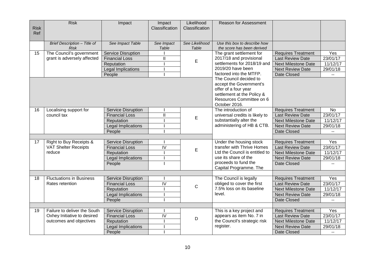| <b>Risk</b><br>Ref | <b>Risk</b>                                 | Impact                    | Impact<br>Classification | Likelihood<br>Classification | Reason for Assessment                                                                                                                                |                            |                |
|--------------------|---------------------------------------------|---------------------------|--------------------------|------------------------------|------------------------------------------------------------------------------------------------------------------------------------------------------|----------------------------|----------------|
|                    | Brief Description - Title of<br><b>Risk</b> | See Impact Table          | See Impact<br>Table      | See Likelihood<br>Table      | Use this box to describe how<br>the score has been derived                                                                                           |                            |                |
| 15                 | The Council's government                    | <b>Service Disruption</b> |                          |                              | The grant settlement for                                                                                                                             | <b>Requires Treatment</b>  | Yes            |
|                    | grant is adversely affected                 | <b>Financial Loss</b>     | Ш                        |                              | 2017/18 and provisional                                                                                                                              | <b>Last Review Date</b>    | 23/01/17       |
|                    |                                             | Reputation                |                          | E                            | settlements for 2018/19 and                                                                                                                          | <b>Next Milestone Date</b> | 11/12/17       |
|                    |                                             | <b>Legal Implications</b> |                          |                              | 2019/20 have been                                                                                                                                    | <b>Next Review Date</b>    | 29/01/18       |
|                    |                                             | People                    |                          |                              | factored into the MTFP.                                                                                                                              | Date Closed                | $\overline{a}$ |
|                    |                                             |                           |                          |                              | The Council decided to<br>accept the Government's<br>offer of a four year<br>settlement at the Policy &<br>Resources Committee on 6<br>October 2016. |                            |                |
| 16                 | Localising support for                      | <b>Service Disruption</b> |                          |                              | The introduction of                                                                                                                                  | <b>Requires Treatment</b>  | No             |
|                    | council tax                                 | <b>Financial Loss</b>     | Ш                        | $\mathsf E$                  | universal credits is likely to                                                                                                                       | <b>Last Review Date</b>    | 23/01/17       |
|                    |                                             | Reputation                |                          |                              | substantially alter the                                                                                                                              | <b>Next Milestone Date</b> | 11/12/17       |
|                    |                                             | Legal Implications        |                          |                              | administering of HB & CTB.                                                                                                                           | <b>Next Review Date</b>    | 29/01/18       |
|                    |                                             | People                    |                          |                              |                                                                                                                                                      | Date Closed                |                |
|                    |                                             |                           |                          |                              |                                                                                                                                                      |                            |                |
| 17                 | Right to Buy Receipts &                     | <b>Service Disruption</b> |                          |                              | Under the housing stock                                                                                                                              | <b>Requires Treatment</b>  | Yes            |
|                    | <b>VAT Shelter Receipts</b>                 | <b>Financial Loss</b>     | IV                       | E                            | transfer with Thrive Homes                                                                                                                           | <b>Last Review Date</b>    | 23/01/17       |
|                    | reduce                                      | Reputation                |                          |                              | Ltd the Council is entitled to                                                                                                                       | <b>Next Milestone Date</b> | 11/12/17       |
|                    |                                             | Legal Implications        |                          |                              | use its share of the<br>proceeds to fund the                                                                                                         | <b>Next Review Date</b>    | 29/01/18       |
|                    |                                             | People                    |                          |                              | Capital Programme. The                                                                                                                               | Date Closed                |                |
|                    |                                             |                           |                          |                              |                                                                                                                                                      |                            |                |
| 18                 | <b>Fluctuations in Business</b>             | <b>Service Disruption</b> |                          |                              | The Council is legally                                                                                                                               | <b>Requires Treatment</b>  | Yes            |
|                    | Rates retention                             | <b>Financial Loss</b>     | $\overline{N}$           | $\mathsf C$                  | obliged to cover the first                                                                                                                           | Last Review Date           | 23/01/17       |
|                    |                                             | Reputation                |                          |                              | 7.5% loss on its baseline                                                                                                                            | <b>Next Milestone Date</b> | 11/12/17       |
|                    |                                             | Legal Implications        |                          |                              | level.                                                                                                                                               | <b>Next Review Date</b>    | 29/01/18       |
|                    |                                             | People                    |                          |                              |                                                                                                                                                      | Date Closed                |                |
|                    |                                             |                           |                          |                              |                                                                                                                                                      |                            |                |
| 19                 | Failure to deliver the South                | <b>Service Disruption</b> |                          |                              | This is a key project and                                                                                                                            | <b>Requires Treatment</b>  | Yes            |
|                    | Oxhey Initiative to desired                 | <b>Financial Loss</b>     | IV                       | D                            | appears as item No. 7 in                                                                                                                             | <b>Last Review Date</b>    | 23/01/17       |
|                    | outcomes and objectives                     | Reputation                |                          |                              | the Council's strategic risk                                                                                                                         | <b>Next Milestone Date</b> | 11/12/17       |
|                    |                                             | Legal Implications        |                          |                              | register.                                                                                                                                            | <b>Next Review Date</b>    | 29/01/18       |
|                    |                                             | People                    |                          |                              |                                                                                                                                                      | <b>Date Closed</b>         | $\mathbf{L}$   |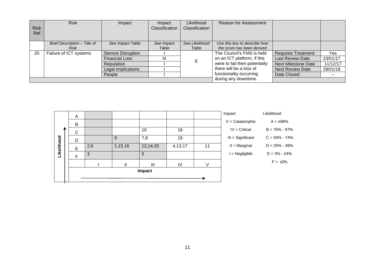|             | <b>Risk</b>                  | Impact                    | Impact         | Likelihood     | Reason for Assessment         |                            |          |
|-------------|------------------------------|---------------------------|----------------|----------------|-------------------------------|----------------------------|----------|
| <b>Risk</b> |                              |                           | Classification | Classification |                               |                            |          |
| Ref         |                              |                           |                |                |                               |                            |          |
|             |                              |                           |                |                |                               |                            |          |
|             | Brief Description - Title of | See Impact Table          | See Impact     | See Likelihood | Use this box to describe how  |                            |          |
|             | <b>Risk</b>                  |                           | Table          | Table          | the score has been derived    |                            |          |
| 20          | Failure of ICT systems       | <b>Service Disruption</b> |                |                | The Council's FMS is held     | <b>Requires Treatment</b>  | Yes      |
|             |                              | <b>Financial Loss</b>     | Ш              |                | on an ICT platform, if this   | <b>Last Review Date</b>    | 23/01/17 |
|             |                              | Reputation                |                |                | were to fail then potentially | <b>Next Milestone Date</b> | 11/12/17 |
|             |                              | Legal Implications        |                |                | there will be a loss of       | <b>Next Review Date</b>    | 29/01/18 |
|             |                              | People                    |                |                | functionality occurring       | Date Closed                | $- -$    |
|             |                              |                           |                |                | during any downtime.          |                            |          |

|            | A |     |         |          |           |    | Impact              | Likelihood        |
|------------|---|-----|---------|----------|-----------|----|---------------------|-------------------|
|            | B |     |         |          |           |    | $V =$ Catastrophic  | $A = 298%$        |
|            | C |     |         | 10       | 18        |    | $IV = Critical$     | $B = 75\% - 97\%$ |
|            | D |     | 9       | 7,8      | 19        |    | $III =$ Significant | $C = 50\% - 74\%$ |
| Likelihood | E | 2,6 | 1,15,16 | 12,14,20 | 4, 13, 17 | 11 | $II = Marginal$     | $D = 25\% - 49\%$ |
|            | F | 3   |         | 5        |           |    | I = Negligible      | $E = 3\% - 24\%$  |
|            |   |     | Ш       | III      | IV        |    |                     | $F = \leq 2\%$    |
|            |   |     |         | Impact   |           |    |                     |                   |
|            |   |     |         |          |           |    |                     |                   |